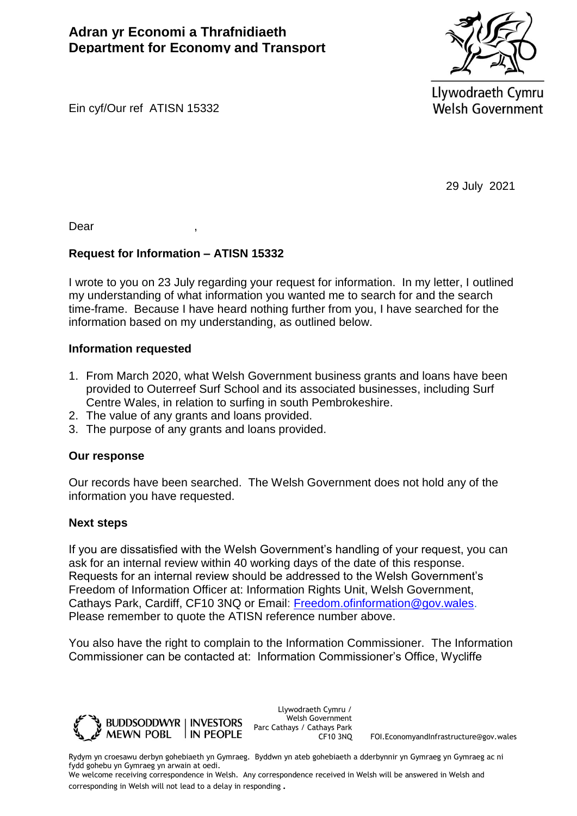**Adran yr Economi a Thrafnidiaeth Department for Economy and Transport** 



Llywodraeth Cymru **Welsh Government** 

Ein cyf/Our ref ATISN 15332

29 July 2021

Dear ,

## **Request for Information – ATISN 15332**

I wrote to you on 23 July regarding your request for information. In my letter, I outlined my understanding of what information you wanted me to search for and the search time-frame. Because I have heard nothing further from you, I have searched for the information based on my understanding, as outlined below.

## **Information requested**

- 1. From March 2020, what Welsh Government business grants and loans have been provided to Outerreef Surf School and its associated businesses, including Surf Centre Wales, in relation to surfing in south Pembrokeshire.
- 2. The value of any grants and loans provided.
- 3. The purpose of any grants and loans provided.

## **Our response**

Our records have been searched. The Welsh Government does not hold any of the information you have requested.

## **Next steps**

If you are dissatisfied with the Welsh Government's handling of your request, you can ask for an internal review within 40 working days of the date of this response. Requests for an internal review should be addressed to the Welsh Government's Freedom of Information Officer at: Information Rights Unit, Welsh Government, Cathays Park, Cardiff, CF10 3NQ or Email: [Freedom.ofinformation@gov.wales.](mailto:Freedom.ofinformation@gov.wales) Please remember to quote the ATISN reference number above.

You also have the right to complain to the Information Commissioner. The Information Commissioner can be contacted at: Information Commissioner's Office, Wycliffe



Llywodraeth Cymru / Welsh Government Parc Cathays / Cathays Park

CF10 3NQ FOI.EconomyandInfrastructure@gov.wales

Rydym yn croesawu derbyn gohebiaeth yn Gymraeg. Byddwn yn ateb gohebiaeth a dderbynnir yn Gymraeg yn Gymraeg ac ni fydd gohebu yn Gymraeg yn arwain at oedi.

We welcome receiving correspondence in Welsh. Any correspondence received in Welsh will be answered in Welsh and corresponding in Welsh will not lead to a delay in responding.